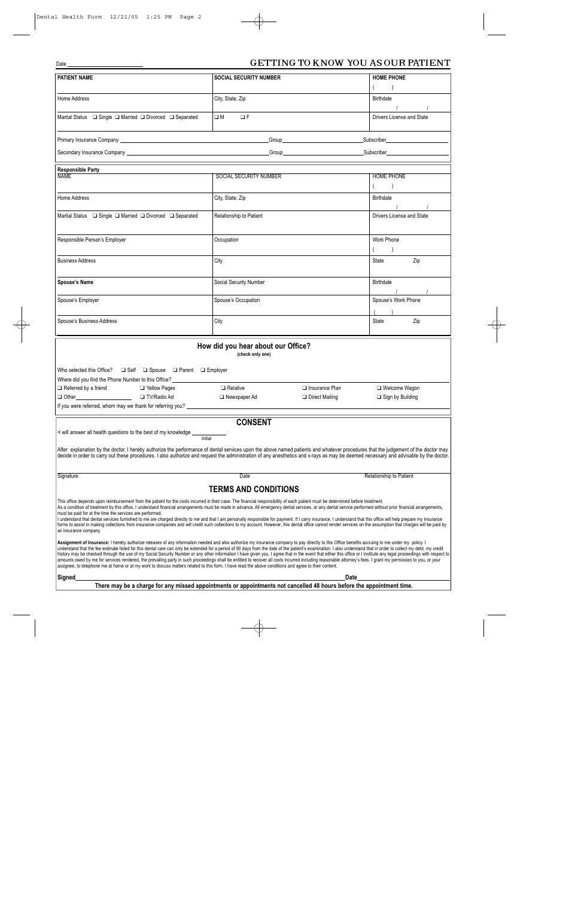## Date GETTING TO KNOW YOU AS OUR PATIENT

| <b>PATIENT NAME</b>                                                                                                                                                                                                                                                                                                                                                                                                                                                                                                                                                                                                                                                                                                                                                                                                                                                                                                                                                                                                         | <b>SOCIAL SECURITY NUMBER</b>                   | <b>HOME PHONE</b>            |  |
|-----------------------------------------------------------------------------------------------------------------------------------------------------------------------------------------------------------------------------------------------------------------------------------------------------------------------------------------------------------------------------------------------------------------------------------------------------------------------------------------------------------------------------------------------------------------------------------------------------------------------------------------------------------------------------------------------------------------------------------------------------------------------------------------------------------------------------------------------------------------------------------------------------------------------------------------------------------------------------------------------------------------------------|-------------------------------------------------|------------------------------|--|
|                                                                                                                                                                                                                                                                                                                                                                                                                                                                                                                                                                                                                                                                                                                                                                                                                                                                                                                                                                                                                             |                                                 | $\rightarrow$                |  |
| Home Address                                                                                                                                                                                                                                                                                                                                                                                                                                                                                                                                                                                                                                                                                                                                                                                                                                                                                                                                                                                                                | City, State, Zip                                | Birthdate                    |  |
| Marital Status □ Single □ Married □ Divorced □ Separated                                                                                                                                                                                                                                                                                                                                                                                                                                                                                                                                                                                                                                                                                                                                                                                                                                                                                                                                                                    | O M<br>$\Box F$                                 | Drivers License and State    |  |
|                                                                                                                                                                                                                                                                                                                                                                                                                                                                                                                                                                                                                                                                                                                                                                                                                                                                                                                                                                                                                             | Group <b>Constant Construction Construction</b> | <b>Subscriber Subscriber</b> |  |
| Secondary Insurance Company executive and the secondary of the Secondary Insurance Company executive and the Secondary of the Secondary of the Secondary of the Secondary of the Secondary of the Secondary of the Secondary o                                                                                                                                                                                                                                                                                                                                                                                                                                                                                                                                                                                                                                                                                                                                                                                              |                                                 |                              |  |
| <b>Responsible Party</b>                                                                                                                                                                                                                                                                                                                                                                                                                                                                                                                                                                                                                                                                                                                                                                                                                                                                                                                                                                                                    |                                                 |                              |  |
| <b>NAME</b>                                                                                                                                                                                                                                                                                                                                                                                                                                                                                                                                                                                                                                                                                                                                                                                                                                                                                                                                                                                                                 | SOCIAL SECURITY NUMBER                          | <b>HOME PHONE</b>            |  |
|                                                                                                                                                                                                                                                                                                                                                                                                                                                                                                                                                                                                                                                                                                                                                                                                                                                                                                                                                                                                                             |                                                 | $\rightarrow$                |  |
| Home Address                                                                                                                                                                                                                                                                                                                                                                                                                                                                                                                                                                                                                                                                                                                                                                                                                                                                                                                                                                                                                | City, State, Zip                                | Birthdate                    |  |
| Marital Status  □ Single □ Married □ Divorced □ Separated                                                                                                                                                                                                                                                                                                                                                                                                                                                                                                                                                                                                                                                                                                                                                                                                                                                                                                                                                                   | <b>Relationship to Patient</b>                  | Drivers License and State    |  |
| Responsible Person's Employer                                                                                                                                                                                                                                                                                                                                                                                                                                                                                                                                                                                                                                                                                                                                                                                                                                                                                                                                                                                               | Occupation                                      | Work Phone                   |  |
| <b>Business Address</b>                                                                                                                                                                                                                                                                                                                                                                                                                                                                                                                                                                                                                                                                                                                                                                                                                                                                                                                                                                                                     | City                                            | Zip<br>State                 |  |
| Spouse's Name                                                                                                                                                                                                                                                                                                                                                                                                                                                                                                                                                                                                                                                                                                                                                                                                                                                                                                                                                                                                               | Social Security Number                          | Birthdate                    |  |
| Spouse's Employer                                                                                                                                                                                                                                                                                                                                                                                                                                                                                                                                                                                                                                                                                                                                                                                                                                                                                                                                                                                                           | Spouse's Occupation                             | Spouse's Work Phone          |  |
| Spouse's Business Address                                                                                                                                                                                                                                                                                                                                                                                                                                                                                                                                                                                                                                                                                                                                                                                                                                                                                                                                                                                                   | City                                            | State<br>Zip                 |  |
| How did you hear about our Office?<br>(check only one)<br>Who selected this Office? $\Box$ Self $\Box$ Spouse $\Box$ Parent $\Box$ Employer                                                                                                                                                                                                                                                                                                                                                                                                                                                                                                                                                                                                                                                                                                                                                                                                                                                                                 |                                                 |                              |  |
| Where did you find the Phone Number to this Office?                                                                                                                                                                                                                                                                                                                                                                                                                                                                                                                                                                                                                                                                                                                                                                                                                                                                                                                                                                         |                                                 |                              |  |
| $\Box$ Referred by a friend<br>□ Yellow Pages                                                                                                                                                                                                                                                                                                                                                                                                                                                                                                                                                                                                                                                                                                                                                                                                                                                                                                                                                                               | $\Box$ Relative<br>$\Box$ Insurance Plan        | □ Welcome Wagon              |  |
| □ TV/Radio Ad                                                                                                                                                                                                                                                                                                                                                                                                                                                                                                                                                                                                                                                                                                                                                                                                                                                                                                                                                                                                               | □ Newspaper Ad<br>Direct Mailing                | $\Box$ Sign by Building      |  |
| If you were referred, whom may we thank for referring you?                                                                                                                                                                                                                                                                                                                                                                                                                                                                                                                                                                                                                                                                                                                                                                                                                                                                                                                                                                  |                                                 |                              |  |
| <b>CONSENT</b><br>. I will answer all health questions to the best of my knowledge                                                                                                                                                                                                                                                                                                                                                                                                                                                                                                                                                                                                                                                                                                                                                                                                                                                                                                                                          |                                                 |                              |  |
| Initial<br>After explanation by the doctor, I hereby authorize the performance of dental services upon the above named patients and whatever procedures that the judgement of the doctor may<br>decide in order to carry out these procedures. I also authorize and request the administration of any anesthetics and x-rays as may be deemed necessary and advisable by the doctor.                                                                                                                                                                                                                                                                                                                                                                                                                                                                                                                                                                                                                                        |                                                 |                              |  |
| Signature                                                                                                                                                                                                                                                                                                                                                                                                                                                                                                                                                                                                                                                                                                                                                                                                                                                                                                                                                                                                                   | Date                                            | Relationship to Patient      |  |
| <b>TERMS AND CONDITIONS</b>                                                                                                                                                                                                                                                                                                                                                                                                                                                                                                                                                                                                                                                                                                                                                                                                                                                                                                                                                                                                 |                                                 |                              |  |
| This office depends upon reimbursement from the patient for the costs incurred in their case. The financial responsibility of each patient must be determined before treatment.<br>As a condition of treatment by this office, I understand financial arrangements must be made in advance. All emergency dental services, or any dental service performed without prior financial arrangements,<br>must be paid for at the time the services are performed.<br>I understand that dental services furnished to me are charged directly to me and that I am personally responsible for payment. If I carry insurance, I understand that this office will help prepare my insurance<br>forms to assist in making collections from insurance companies and will credit such collections to my account. However, this dental office cannot render services on the assumption that charges will be paid by<br>an insurance company.                                                                                              |                                                 |                              |  |
| Assignment of Insurance: I hereby authorize releases of any information needed and also authorize my insurance company to pay directly to this Office benefits accruing to me under my policy. I<br>understand that the fee estimate listed for this dental care can only be extended for a period of 90 days from the date of the patient's examination. I also understand that in order to collect my debt, my credit<br>history may be checked through the use of my Social Security Number or any other information I have given you. I agree that in the event that either this office or I institute any legal proceedings with respect to<br>amounts owed by me for services rendered, the prevailing party in such proceedings shall be entitled to recover all costs incurred including reasonable attorney's fees. I grant my permission to you, or your<br>assignee, to telephone me at home or at my work to discuss matters related to this form. I have read the above conditions and agree to their content. |                                                 |                              |  |
| <b>Signed</b><br>Date                                                                                                                                                                                                                                                                                                                                                                                                                                                                                                                                                                                                                                                                                                                                                                                                                                                                                                                                                                                                       |                                                 |                              |  |
| There may be a charge for any missed appointments or appointments not cancelled 48 hours before the appointment time.                                                                                                                                                                                                                                                                                                                                                                                                                                                                                                                                                                                                                                                                                                                                                                                                                                                                                                       |                                                 |                              |  |